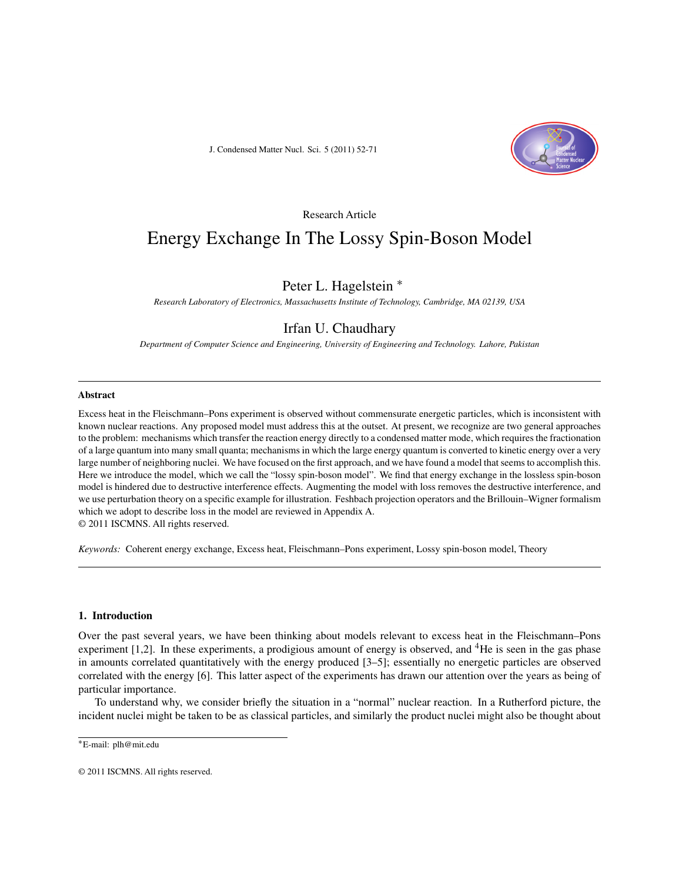J. Condensed Matter Nucl. Sci. 5 (2011) 52-71



# Research Article

# Energy Exchange In The Lossy Spin-Boson Model

# Peter L. Hagelstein <sup>∗</sup>

*Research Laboratory of Electronics, Massachusetts Institute of Technology, Cambridge, MA 02139, USA*

# Irfan U. Chaudhary

*Department of Computer Science and Engineering, University of Engineering and Technology. Lahore, Pakistan*

#### **Abstract**

Excess heat in the Fleischmann–Pons experiment is observed without commensurate energetic particles, which is inconsistent with known nuclear reactions. Any proposed model must address this at the outset. At present, we recognize are two general approaches to the problem: mechanisms which transfer the reaction energy directly to a condensed matter mode, which requires the fractionation of a large quantum into many small quanta; mechanisms in which the large energy quantum is converted to kinetic energy over a very large number of neighboring nuclei. We have focused on the first approach, and we have found a model that seems to accomplish this. Here we introduce the model, which we call the "lossy spin-boson model". We find that energy exchange in the lossless spin-boson model is hindered due to destructive interference effects. Augmenting the model with loss removes the destructive interference, and we use perturbation theory on a specific example for illustration. Feshbach projection operators and the Brillouin–Wigner formalism which we adopt to describe loss in the model are reviewed in Appendix A.

© 2011 ISCMNS. All rights reserved.

*Keywords:* Coherent energy exchange, Excess heat, Fleischmann–Pons experiment, Lossy spin-boson model, Theory

#### **1. Introduction**

Over the past several years, we have been thinking about models relevant to excess heat in the Fleischmann–Pons experiment [1,2]. In these experiments, a prodigious amount of energy is observed, and <sup>4</sup>He is seen in the gas phase in amounts correlated quantitatively with the energy produced [3–5]; essentially no energetic particles are observed correlated with the energy [6]. This latter aspect of the experiments has drawn our attention over the years as being of particular importance.

To understand why, we consider briefly the situation in a "normal" nuclear reaction. In a Rutherford picture, the incident nuclei might be taken to be as classical particles, and similarly the product nuclei might also be thought about

<sup>∗</sup>E-mail: plh@mit.edu

<sup>© 2011</sup> ISCMNS. All rights reserved.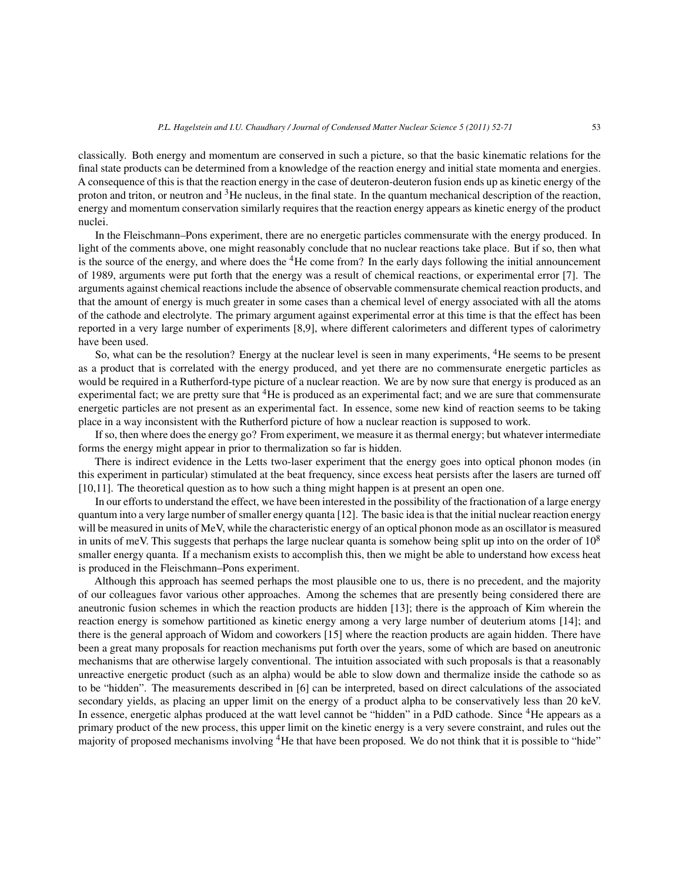classically. Both energy and momentum are conserved in such a picture, so that the basic kinematic relations for the final state products can be determined from a knowledge of the reaction energy and initial state momenta and energies. A consequence of this is that the reaction energy in the case of deuteron-deuteron fusion ends up as kinetic energy of the proton and triton, or neutron and 3He nucleus, in the final state. In the quantum mechanical description of the reaction, energy and momentum conservation similarly requires that the reaction energy appears as kinetic energy of the product nuclei.

In the Fleischmann–Pons experiment, there are no energetic particles commensurate with the energy produced. In light of the comments above, one might reasonably conclude that no nuclear reactions take place. But if so, then what is the source of the energy, and where does the  ${}^{4}$ He come from? In the early days following the initial announcement of 1989, arguments were put forth that the energy was a result of chemical reactions, or experimental error [7]. The arguments against chemical reactions include the absence of observable commensurate chemical reaction products, and that the amount of energy is much greater in some cases than a chemical level of energy associated with all the atoms of the cathode and electrolyte. The primary argument against experimental error at this time is that the effect has been reported in a very large number of experiments [8,9], where different calorimeters and different types of calorimetry have been used.

So, what can be the resolution? Energy at the nuclear level is seen in many experiments, <sup>4</sup>He seems to be present as a product that is correlated with the energy produced, and yet there are no commensurate energetic particles as would be required in a Rutherford-type picture of a nuclear reaction. We are by now sure that energy is produced as an experimental fact; we are pretty sure that  ${}^{4}$ He is produced as an experimental fact; and we are sure that commensurate energetic particles are not present as an experimental fact. In essence, some new kind of reaction seems to be taking place in a way inconsistent with the Rutherford picture of how a nuclear reaction is supposed to work.

If so, then where does the energy go? From experiment, we measure it as thermal energy; but whatever intermediate forms the energy might appear in prior to thermalization so far is hidden.

There is indirect evidence in the Letts two-laser experiment that the energy goes into optical phonon modes (in this experiment in particular) stimulated at the beat frequency, since excess heat persists after the lasers are turned off [10,11]. The theoretical question as to how such a thing might happen is at present an open one.

In our efforts to understand the effect, we have been interested in the possibility of the fractionation of a large energy quantum into a very large number of smaller energy quanta [12]. The basic idea is that the initial nuclear reaction energy will be measured in units of MeV, while the characteristic energy of an optical phonon mode as an oscillator is measured in units of meV. This suggests that perhaps the large nuclear quanta is somehow being split up into on the order of  $10^8$ smaller energy quanta. If a mechanism exists to accomplish this, then we might be able to understand how excess heat is produced in the Fleischmann–Pons experiment.

Although this approach has seemed perhaps the most plausible one to us, there is no precedent, and the majority of our colleagues favor various other approaches. Among the schemes that are presently being considered there are aneutronic fusion schemes in which the reaction products are hidden [13]; there is the approach of Kim wherein the reaction energy is somehow partitioned as kinetic energy among a very large number of deuterium atoms [14]; and there is the general approach of Widom and coworkers [15] where the reaction products are again hidden. There have been a great many proposals for reaction mechanisms put forth over the years, some of which are based on aneutronic mechanisms that are otherwise largely conventional. The intuition associated with such proposals is that a reasonably unreactive energetic product (such as an alpha) would be able to slow down and thermalize inside the cathode so as to be "hidden". The measurements described in [6] can be interpreted, based on direct calculations of the associated secondary yields, as placing an upper limit on the energy of a product alpha to be conservatively less than 20 keV. In essence, energetic alphas produced at the watt level cannot be "hidden" in a PdD cathode. Since <sup>4</sup>He appears as a primary product of the new process, this upper limit on the kinetic energy is a very severe constraint, and rules out the majority of proposed mechanisms involving 4He that have been proposed. We do not think that it is possible to "hide"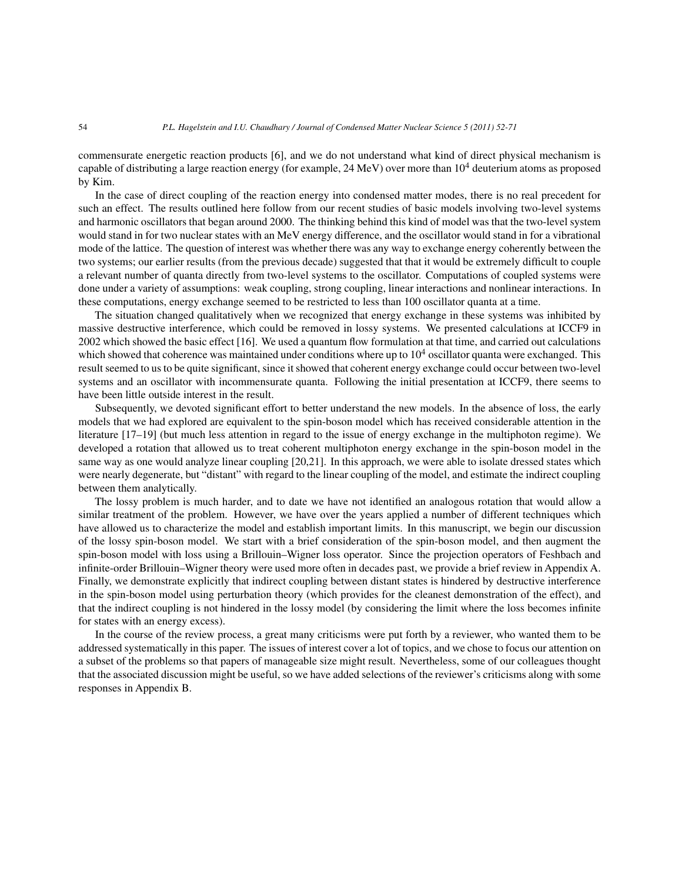#### 54 *P.L. Hagelstein and I.U. Chaudhary / Journal of Condensed Matter Nuclear Science 5 (2011) 52-71*

commensurate energetic reaction products [6], and we do not understand what kind of direct physical mechanism is capable of distributing a large reaction energy (for example,  $24 \text{ MeV}$ ) over more than  $10^4$  deuterium atoms as proposed by Kim.

In the case of direct coupling of the reaction energy into condensed matter modes, there is no real precedent for such an effect. The results outlined here follow from our recent studies of basic models involving two-level systems and harmonic oscillators that began around 2000. The thinking behind this kind of model was that the two-level system would stand in for two nuclear states with an MeV energy difference, and the oscillator would stand in for a vibrational mode of the lattice. The question of interest was whether there was any way to exchange energy coherently between the two systems; our earlier results (from the previous decade) suggested that that it would be extremely difficult to couple a relevant number of quanta directly from two-level systems to the oscillator. Computations of coupled systems were done under a variety of assumptions: weak coupling, strong coupling, linear interactions and nonlinear interactions. In these computations, energy exchange seemed to be restricted to less than 100 oscillator quanta at a time.

The situation changed qualitatively when we recognized that energy exchange in these systems was inhibited by massive destructive interference, which could be removed in lossy systems. We presented calculations at ICCF9 in 2002 which showed the basic effect [16]. We used a quantum flow formulation at that time, and carried out calculations which showed that coherence was maintained under conditions where up to  $10<sup>4</sup>$  oscillator quanta were exchanged. This result seemed to us to be quite significant, since it showed that coherent energy exchange could occur between two-level systems and an oscillator with incommensurate quanta. Following the initial presentation at ICCF9, there seems to have been little outside interest in the result.

Subsequently, we devoted significant effort to better understand the new models. In the absence of loss, the early models that we had explored are equivalent to the spin-boson model which has received considerable attention in the literature [17–19] (but much less attention in regard to the issue of energy exchange in the multiphoton regime). We developed a rotation that allowed us to treat coherent multiphoton energy exchange in the spin-boson model in the same way as one would analyze linear coupling [20,21]. In this approach, we were able to isolate dressed states which were nearly degenerate, but "distant" with regard to the linear coupling of the model, and estimate the indirect coupling between them analytically.

The lossy problem is much harder, and to date we have not identified an analogous rotation that would allow a similar treatment of the problem. However, we have over the years applied a number of different techniques which have allowed us to characterize the model and establish important limits. In this manuscript, we begin our discussion of the lossy spin-boson model. We start with a brief consideration of the spin-boson model, and then augment the spin-boson model with loss using a Brillouin–Wigner loss operator. Since the projection operators of Feshbach and infinite-order Brillouin–Wigner theory were used more often in decades past, we provide a brief review in Appendix A. Finally, we demonstrate explicitly that indirect coupling between distant states is hindered by destructive interference in the spin-boson model using perturbation theory (which provides for the cleanest demonstration of the effect), and that the indirect coupling is not hindered in the lossy model (by considering the limit where the loss becomes infinite for states with an energy excess).

In the course of the review process, a great many criticisms were put forth by a reviewer, who wanted them to be addressed systematically in this paper. The issues of interest cover a lot of topics, and we chose to focus our attention on a subset of the problems so that papers of manageable size might result. Nevertheless, some of our colleagues thought that the associated discussion might be useful, so we have added selections of the reviewer's criticisms along with some responses in Appendix B.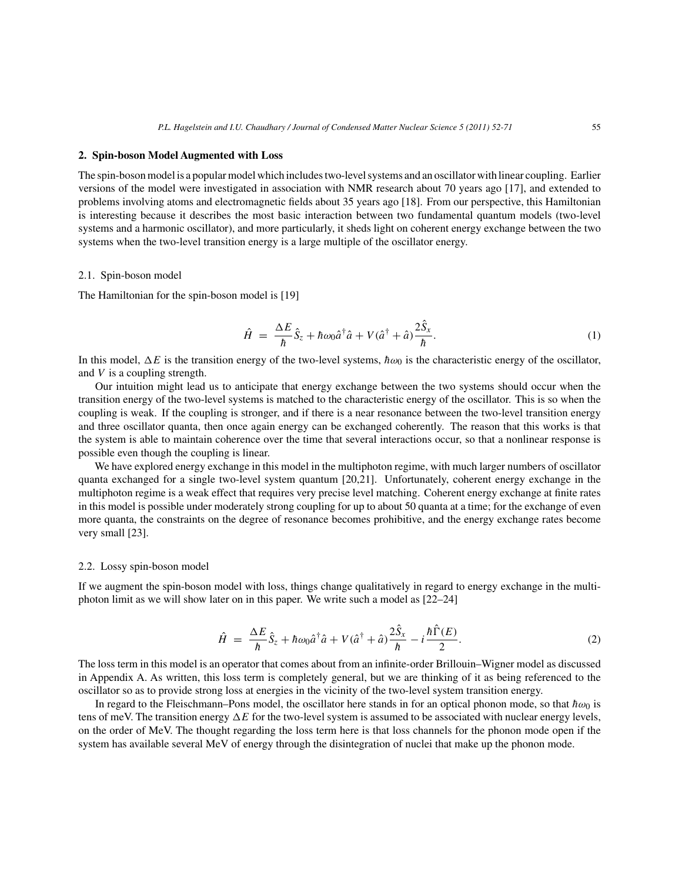#### **2. Spin-boson Model Augmented with Loss**

The spin-boson model is a popular model which includes two-level systems and an oscillator with linear coupling. Earlier versions of the model were investigated in association with NMR research about 70 years ago [17], and extended to problems involving atoms and electromagnetic fields about 35 years ago [18]. From our perspective, this Hamiltonian is interesting because it describes the most basic interaction between two fundamental quantum models (two-level systems and a harmonic oscillator), and more particularly, it sheds light on coherent energy exchange between the two systems when the two-level transition energy is a large multiple of the oscillator energy.

#### 2.1. Spin-boson model

The Hamiltonian for the spin-boson model is [19]

$$
\hat{H} = \frac{\Delta E}{\hbar} \hat{S}_z + \hbar \omega_0 \hat{a}^\dagger \hat{a} + V(\hat{a}^\dagger + \hat{a}) \frac{2\hat{S}_x}{\hbar}.
$$
\n(1)

In this model,  $\Delta E$  is the transition energy of the two-level systems,  $\hbar \omega_0$  is the characteristic energy of the oscillator, and V is a coupling strength.

Our intuition might lead us to anticipate that energy exchange between the two systems should occur when the transition energy of the two-level systems is matched to the characteristic energy of the oscillator. This is so when the coupling is weak. If the coupling is stronger, and if there is a near resonance between the two-level transition energy and three oscillator quanta, then once again energy can be exchanged coherently. The reason that this works is that the system is able to maintain coherence over the time that several interactions occur, so that a nonlinear response is possible even though the coupling is linear.

We have explored energy exchange in this model in the multiphoton regime, with much larger numbers of oscillator quanta exchanged for a single two-level system quantum [20,21]. Unfortunately, coherent energy exchange in the multiphoton regime is a weak effect that requires very precise level matching. Coherent energy exchange at finite rates in this model is possible under moderately strong coupling for up to about 50 quanta at a time; for the exchange of even more quanta, the constraints on the degree of resonance becomes prohibitive, and the energy exchange rates become very small [23].

# 2.2. Lossy spin-boson model

If we augment the spin-boson model with loss, things change qualitatively in regard to energy exchange in the multiphoton limit as we will show later on in this paper. We write such a model as [22–24]

$$
\hat{H} = \frac{\Delta E}{\hbar} \hat{S}_z + \hbar \omega_0 \hat{a}^\dagger \hat{a} + V(\hat{a}^\dagger + \hat{a}) \frac{2\hat{S}_x}{\hbar} - i \frac{\hbar \hat{\Gamma}(E)}{2}.
$$
\n(2)

The loss term in this model is an operator that comes about from an infinite-order Brillouin–Wigner model as discussed in Appendix A. As written, this loss term is completely general, but we are thinking of it as being referenced to the oscillator so as to provide strong loss at energies in the vicinity of the two-level system transition energy.

In regard to the Fleischmann–Pons model, the oscillator here stands in for an optical phonon mode, so that  $\hbar \omega_0$  is tens of meV. The transition energy  $\Delta E$  for the two-level system is assumed to be associated with nuclear energy levels, on the order of MeV. The thought regarding the loss term here is that loss channels for the phonon mode open if the system has available several MeV of energy through the disintegration of nuclei that make up the phonon mode.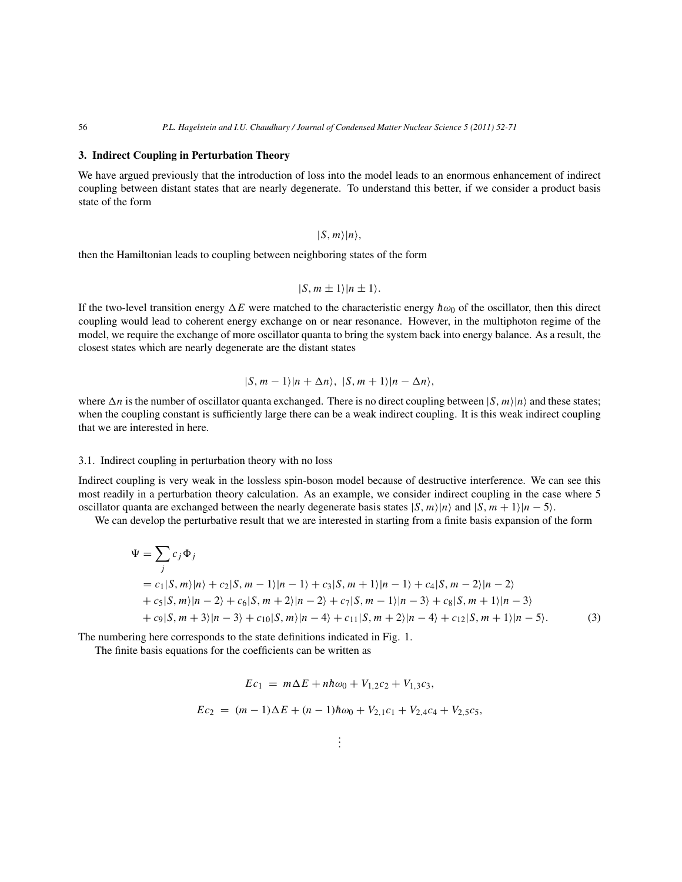#### **3. Indirect Coupling in Perturbation Theory**

We have argued previously that the introduction of loss into the model leads to an enormous enhancement of indirect coupling between distant states that are nearly degenerate. To understand this better, if we consider a product basis state of the form

$$
|S,m\rangle|n\rangle,
$$

then the Hamiltonian leads to coupling between neighboring states of the form

$$
|S, m \pm 1\rangle |n \pm 1\rangle.
$$

If the two-level transition energy  $\Delta E$  were matched to the characteristic energy  $\hbar \omega_0$  of the oscillator, then this direct coupling would lead to coherent energy exchange on or near resonance. However, in the multiphoton regime of the model, we require the exchange of more oscillator quanta to bring the system back into energy balance. As a result, the closest states which are nearly degenerate are the distant states

$$
|S, m-1\rangle|n+\Delta n\rangle, |S, m+1\rangle|n-\Delta n\rangle,
$$

where  $\Delta n$  is the number of oscillator quanta exchanged. There is no direct coupling between  $|S,m\rangle|n\rangle$  and these states; when the coupling constant is sufficiently large there can be a weak indirect coupling. It is this weak indirect coupling that we are interested in here.

#### 3.1. Indirect coupling in perturbation theory with no loss

Indirect coupling is very weak in the lossless spin-boson model because of destructive interference. We can see this most readily in a perturbation theory calculation. As an example, we consider indirect coupling in the case where 5 oscillator quanta are exchanged between the nearly degenerate basis states  $|S, m\rangle|n\rangle$  and  $|S, m + 1\rangle|n - 5\rangle$ .

We can develop the perturbative result that we are interested in starting from a finite basis expansion of the form

$$
\Psi = \sum_{j} c_{j} \Phi_{j}
$$
  
=  $c_{1}|S, m\rangle|n\rangle + c_{2}|S, m - 1\rangle|n - 1\rangle + c_{3}|S, m + 1\rangle|n - 1\rangle + c_{4}|S, m - 2\rangle|n - 2\rangle$   
+  $c_{5}|S, m\rangle|n - 2\rangle + c_{6}|S, m + 2\rangle|n - 2\rangle + c_{7}|S, m - 1\rangle|n - 3\rangle + c_{8}|S, m + 1\rangle|n - 3\rangle$   
+  $c_{9}|S, m + 3\rangle|n - 3\rangle + c_{10}|S, m\rangle|n - 4\rangle + c_{11}|S, m + 2\rangle|n - 4\rangle + c_{12}|S, m + 1\rangle|n - 5\rangle.$  (3)

The numbering here corresponds to the state definitions indicated in Fig. 1.

The finite basis equations for the coefficients can be written as

$$
Ec_1 = m\Delta E + n\hbar\omega_0 + V_{1,2}c_2 + V_{1,3}c_3,
$$
  

$$
Ec_2 = (m-1)\Delta E + (n-1)\hbar\omega_0 + V_{2,1}c_1 + V_{2,4}c_4 + V_{2,5}c_5,
$$

. . .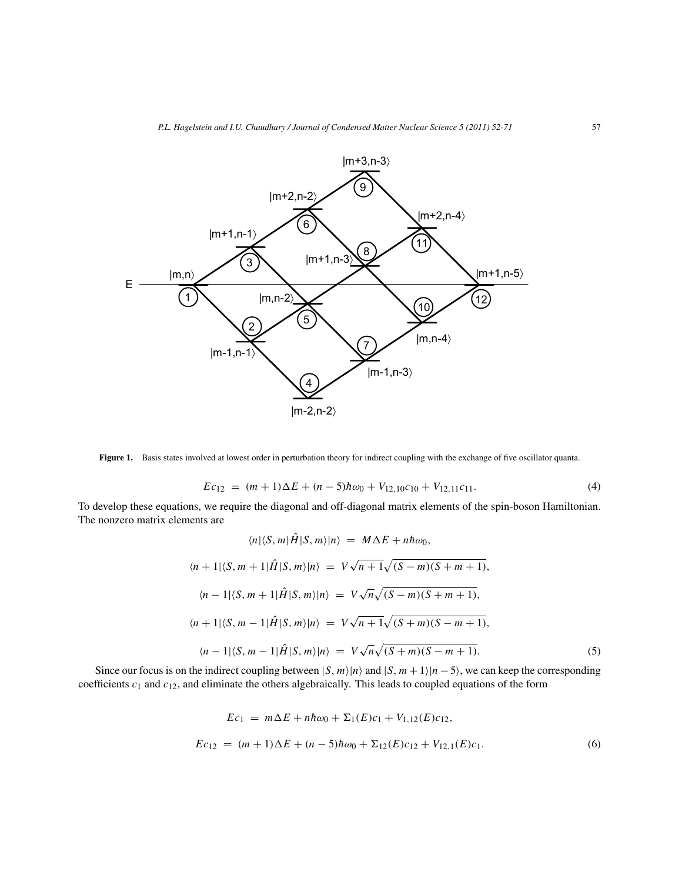

**Figure 1.** Basis states involved at lowest order in perturbation theory for indirect coupling with the exchange of five oscillator quanta.

$$
Ec_{12} = (m+1)\Delta E + (n-5)\hbar\omega_0 + V_{12,10}c_{10} + V_{12,11}c_{11}.
$$
\n(4)

To develop these equations, we require the diagonal and off-diagonal matrix elements of the spin-boson Hamiltonian. The nonzero matrix elements are

$$
\langle n|\langle S,m|\hat{H}|S,m\rangle|n\rangle = M\Delta E + nh\omega_0,
$$
  

$$
\langle n+1|\langle S,m+1|\hat{H}|S,m\rangle|n\rangle = V\sqrt{n+1}\sqrt{(S-m)(S+m+1)},
$$
  

$$
\langle n-1|\langle S,m+1|\hat{H}|S,m\rangle|n\rangle = V\sqrt{n}\sqrt{(S-m)(S+m+1)},
$$
  

$$
\langle n+1|\langle S,m-1|\hat{H}|S,m\rangle|n\rangle = V\sqrt{n+1}\sqrt{(S+m)(S-m+1)},
$$
  

$$
\langle n-1|\langle S,m-1|\hat{H}|S,m\rangle|n\rangle = V\sqrt{n}\sqrt{(S+m)(S-m+1)}.
$$
 (5)

Since our focus is on the indirect coupling between  $|S, m\rangle|n\rangle$  and  $|S, m+1\rangle|n-5\rangle$ , we can keep the corresponding coefficients  $c_1$  and  $c_{12}$ , and eliminate the others algebraically. This leads to coupled equations of the form

$$
Ec_1 = m\Delta E + nh\omega_0 + \Sigma_1(E)c_1 + V_{1,12}(E)c_{12},
$$
  
\n
$$
Ec_{12} = (m+1)\Delta E + (n-5)h\omega_0 + \Sigma_{12}(E)c_{12} + V_{12,1}(E)c_1.
$$
 (6)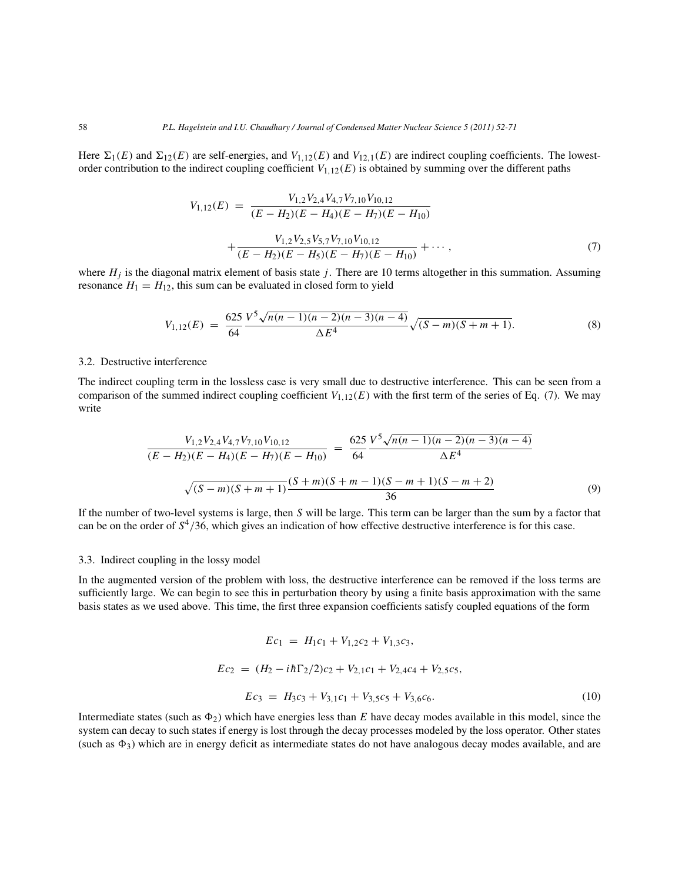Here  $\Sigma_1(E)$  and  $\Sigma_{12}(E)$  are self-energies, and  $V_{1,12}(E)$  and  $V_{12,1}(E)$  are indirect coupling coefficients. The lowestorder contribution to the indirect coupling coefficient  $V_{1,12}(E)$  is obtained by summing over the different paths

$$
V_{1,12}(E) = \frac{V_{1,2}V_{2,4}V_{4,7}V_{7,10}V_{10,12}}{(E - H_2)(E - H_4)(E - H_7)(E - H_{10})} + \frac{V_{1,2}V_{2,5}V_{5,7}V_{7,10}V_{10,12}}{(E - H_2)(E - H_5)(E - H_7)(E - H_{10})} + \cdots,
$$
\n(7)

where  $H_j$  is the diagonal matrix element of basis state j. There are 10 terms altogether in this summation. Assuming resonance  $H_1 = H_{12}$ , this sum can be evaluated in closed form to yield

$$
V_{1,12}(E) = \frac{625 \sqrt{N(n-1)(n-2)(n-3)(n-4)}}{64} \sqrt{(S-m)(S+m+1)}.
$$
 (8)

# 3.2. Destructive interference

The indirect coupling term in the lossless case is very small due to destructive interference. This can be seen from a comparison of the summed indirect coupling coefficient  $V_{1,12}(E)$  with the first term of the series of Eq. (7). We may write

$$
\frac{V_{1,2}V_{2,4}V_{4,7}V_{7,10}V_{10,12}}{(E - H_2)(E - H_4)(E - H_7)(E - H_{10})} = \frac{625 V^5 \sqrt{n(n-1)(n-2)(n-3)(n-4)}}{64} \Delta E^4
$$
  

$$
\sqrt{(S - m)(S + m + 1)} \frac{(S + m)(S + m - 1)(S - m + 1)(S - m + 2)}{36}
$$
(9)

If the number of two-level systems is large, then S will be large. This term can be larger than the sum by a factor that can be on the order of  $S^4/36$ , which gives an indication of how effective destructive interference is for this case.

#### 3.3. Indirect coupling in the lossy model

In the augmented version of the problem with loss, the destructive interference can be removed if the loss terms are sufficiently large. We can begin to see this in perturbation theory by using a finite basis approximation with the same basis states as we used above. This time, the first three expansion coefficients satisfy coupled equations of the form

$$
Ec_1 = H_1c_1 + V_{1,2}c_2 + V_{1,3}c_3,
$$
  
\n
$$
Ec_2 = (H_2 - i\hbar\Gamma_2/2)c_2 + V_{2,1}c_1 + V_{2,4}c_4 + V_{2,5}c_5,
$$
  
\n
$$
Ec_3 = H_3c_3 + V_{3,1}c_1 + V_{3,5}c_5 + V_{3,6}c_6.
$$
 (10)

Intermediate states (such as  $\Phi_2$ ) which have energies less than E have decay modes available in this model, since the system can decay to such states if energy is lost through the decay processes modeled by the loss operator. Other states (such as  $\Phi_3$ ) which are in energy deficit as intermediate states do not have analogous decay modes available, and are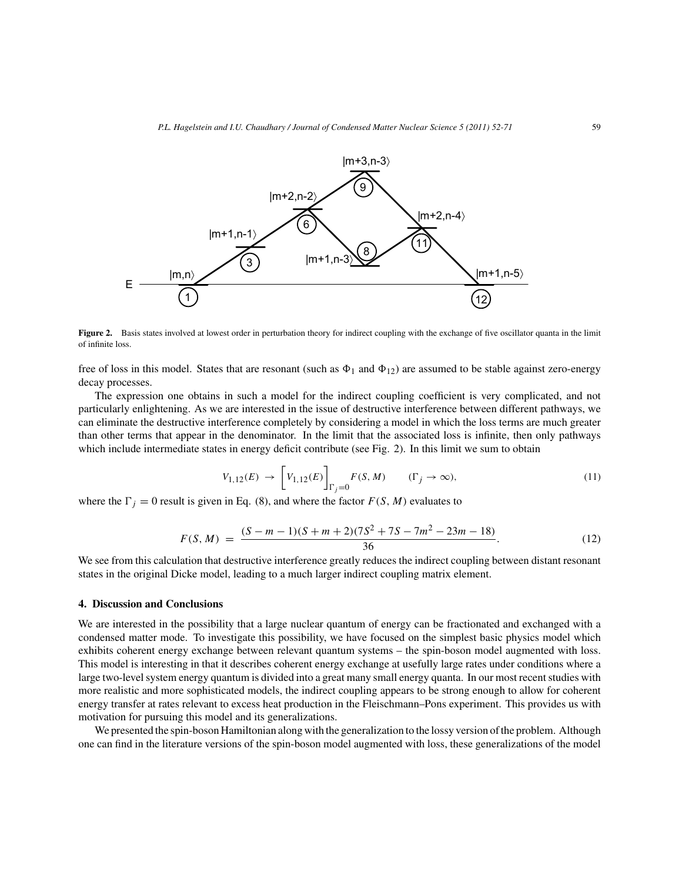

**Figure 2.** Basis states involved at lowest order in perturbation theory for indirect coupling with the exchange of five oscillator quanta in the limit of infinite loss.

free of loss in this model. States that are resonant (such as  $\Phi_1$  and  $\Phi_{12}$ ) are assumed to be stable against zero-energy decay processes.

The expression one obtains in such a model for the indirect coupling coefficient is very complicated, and not particularly enlightening. As we are interested in the issue of destructive interference between different pathways, we can eliminate the destructive interference completely by considering a model in which the loss terms are much greater than other terms that appear in the denominator. In the limit that the associated loss is infinite, then only pathways which include intermediate states in energy deficit contribute (see Fig. 2). In this limit we sum to obtain

$$
V_{1,12}(E) \rightarrow \left[V_{1,12}(E)\right]_{\Gamma_j=0} F(S,M) \qquad (\Gamma_j \rightarrow \infty),\tag{11}
$$

where the  $\Gamma_j = 0$  result is given in Eq. (8), and where the factor  $F(S, M)$  evaluates to

$$
F(S, M) = \frac{(S-m-1)(S+m+2)(7S^2+7S-7m^2-23m-18)}{36}.
$$
 (12)

We see from this calculation that destructive interference greatly reduces the indirect coupling between distant resonant states in the original Dicke model, leading to a much larger indirect coupling matrix element.

### **4. Discussion and Conclusions**

We are interested in the possibility that a large nuclear quantum of energy can be fractionated and exchanged with a condensed matter mode. To investigate this possibility, we have focused on the simplest basic physics model which exhibits coherent energy exchange between relevant quantum systems – the spin-boson model augmented with loss. This model is interesting in that it describes coherent energy exchange at usefully large rates under conditions where a large two-level system energy quantum is divided into a great many small energy quanta. In our most recent studies with more realistic and more sophisticated models, the indirect coupling appears to be strong enough to allow for coherent energy transfer at rates relevant to excess heat production in the Fleischmann–Pons experiment. This provides us with motivation for pursuing this model and its generalizations.

We presented the spin-boson Hamiltonian along with the generalization to the lossy version of the problem. Although one can find in the literature versions of the spin-boson model augmented with loss, these generalizations of the model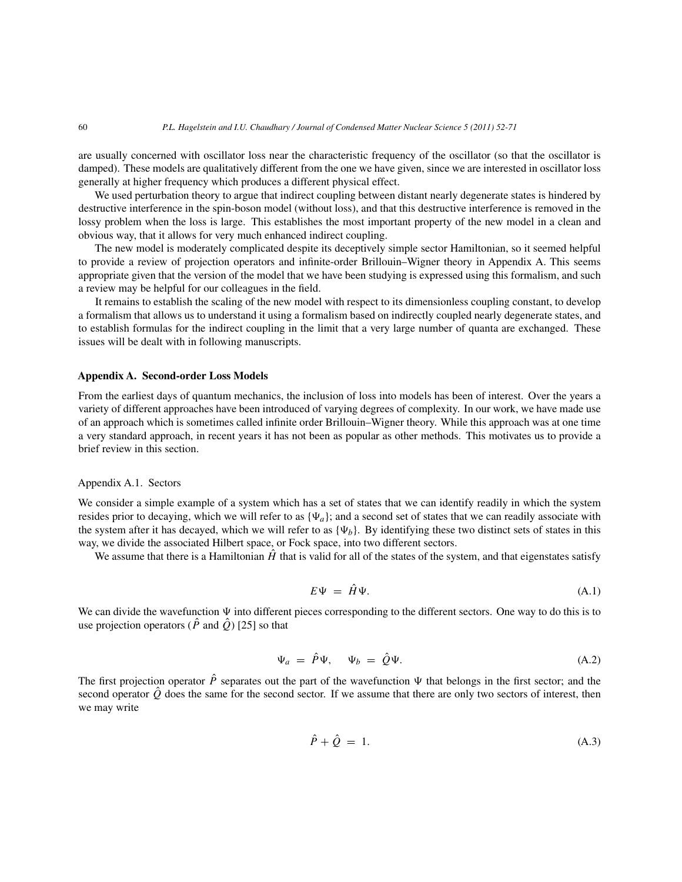are usually concerned with oscillator loss near the characteristic frequency of the oscillator (so that the oscillator is damped). These models are qualitatively different from the one we have given, since we are interested in oscillator loss generally at higher frequency which produces a different physical effect.

We used perturbation theory to argue that indirect coupling between distant nearly degenerate states is hindered by destructive interference in the spin-boson model (without loss), and that this destructive interference is removed in the lossy problem when the loss is large. This establishes the most important property of the new model in a clean and obvious way, that it allows for very much enhanced indirect coupling.

The new model is moderately complicated despite its deceptively simple sector Hamiltonian, so it seemed helpful to provide a review of projection operators and infinite-order Brillouin–Wigner theory in Appendix A. This seems appropriate given that the version of the model that we have been studying is expressed using this formalism, and such a review may be helpful for our colleagues in the field.

It remains to establish the scaling of the new model with respect to its dimensionless coupling constant, to develop a formalism that allows us to understand it using a formalism based on indirectly coupled nearly degenerate states, and to establish formulas for the indirect coupling in the limit that a very large number of quanta are exchanged. These issues will be dealt with in following manuscripts.

#### **Appendix A. Second-order Loss Models**

From the earliest days of quantum mechanics, the inclusion of loss into models has been of interest. Over the years a variety of different approaches have been introduced of varying degrees of complexity. In our work, we have made use of an approach which is sometimes called infinite order Brillouin–Wigner theory. While this approach was at one time a very standard approach, in recent years it has not been as popular as other methods. This motivates us to provide a brief review in this section.

# Appendix A.1. Sectors

We consider a simple example of a system which has a set of states that we can identify readily in which the system resides prior to decaying, which we will refer to as  $\{\Psi_a\}$ ; and a second set of states that we can readily associate with the system after it has decayed, which we will refer to as  $\{\Psi_b\}$ . By identifying these two distinct sets of states in this way, we divide the associated Hilbert space, or Fock space, into two different sectors.

We assume that there is a Hamiltonian  $\hat{H}$  that is valid for all of the states of the system, and that eigenstates satisfy

$$
E\Psi = \hat{H}\Psi. \tag{A.1}
$$

We can divide the wavefunction  $\Psi$  into different pieces corresponding to the different sectors. One way to do this is to use projection operators ( $\hat{P}$  and  $\hat{Q}$ ) [25] so that

$$
\Psi_a = \hat{P}\Psi, \quad \Psi_b = \hat{Q}\Psi.
$$
\n(A.2)

The first projection operator  $\hat{P}$  separates out the part of the wavefunction  $\Psi$  that belongs in the first sector; and the second operator  $\hat{O}$  does the same for the second sector. If we assume that there are only two sectors of interest, then we may write

$$
\hat{P} + \hat{Q} = 1. \tag{A.3}
$$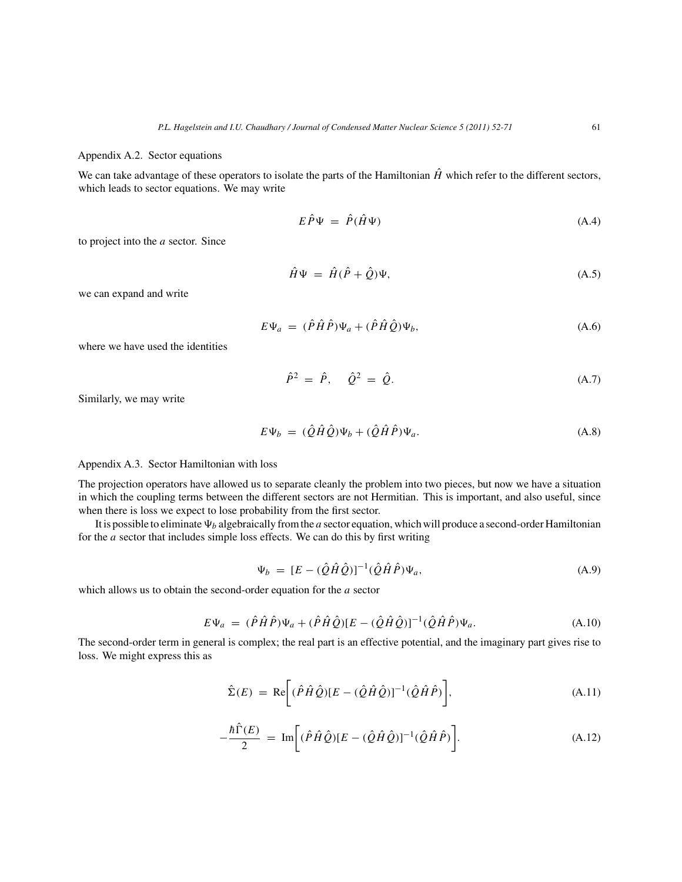#### Appendix A.2. Sector equations

We can take advantage of these operators to isolate the parts of the Hamiltonian  $\hat{H}$  which refer to the different sectors, which leads to sector equations. We may write

$$
E\hat{P}\Psi = \hat{P}(\hat{H}\Psi) \tag{A.4}
$$

to project into the a sector. Since

$$
\hat{H}\Psi = \hat{H}(\hat{P} + \hat{Q})\Psi, \tag{A.5}
$$

we can expand and write

$$
E\Psi_a = (\hat{P}\hat{H}\hat{P})\Psi_a + (\hat{P}\hat{H}\hat{Q})\Psi_b, \tag{A.6}
$$

where we have used the identities

$$
\hat{P}^2 = \hat{P}, \quad \hat{Q}^2 = \hat{Q}.
$$
 (A.7)

Similarly, we may write

$$
E\Psi_b = (\hat{Q}\hat{H}\hat{Q})\Psi_b + (\hat{Q}\hat{H}\hat{P})\Psi_a.
$$
 (A.8)

# Appendix A.3. Sector Hamiltonian with loss

The projection operators have allowed us to separate cleanly the problem into two pieces, but now we have a situation in which the coupling terms between the different sectors are not Hermitian. This is important, and also useful, since when there is loss we expect to lose probability from the first sector.

It is possible to eliminate  $\Psi_b$  algebraically from the a sector equation, which will produce a second-order Hamiltonian for the a sector that includes simple loss effects. We can do this by first writing

$$
\Psi_b = [E - (\hat{Q}\hat{H}\hat{Q})]^{-1} (\hat{Q}\hat{H}\hat{P}) \Psi_a, \tag{A.9}
$$

which allows us to obtain the second-order equation for the a sector

$$
E\Psi_a = (\hat{P}\hat{H}\hat{P})\Psi_a + (\hat{P}\hat{H}\hat{Q})[E - (\hat{Q}\hat{H}\hat{Q})]^{-1}(\hat{Q}\hat{H}\hat{P})\Psi_a.
$$
 (A.10)

The second-order term in general is complex; the real part is an effective potential, and the imaginary part gives rise to loss. We might express this as

$$
\hat{\Sigma}(E) = \text{Re}\bigg[ (\hat{P}\hat{H}\hat{Q})[E - (\hat{Q}\hat{H}\hat{Q})]^{-1} (\hat{Q}\hat{H}\hat{P}) \bigg], \tag{A.11}
$$

$$
-\frac{\hbar\hat{\Gamma}(E)}{2} = \text{Im}\bigg[ (\hat{P}\hat{H}\hat{Q}) [E - (\hat{Q}\hat{H}\hat{Q})]^{-1} (\hat{Q}\hat{H}\hat{P}) \bigg]. \tag{A.12}
$$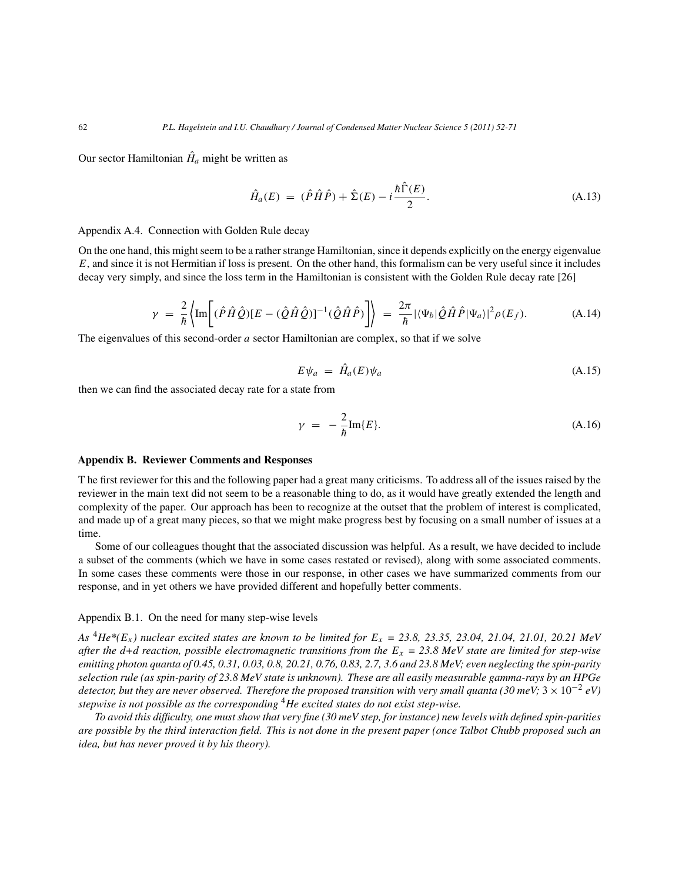Our sector Hamiltonian  $\hat{H}_a$  might be written as

$$
\hat{H}_a(E) = (\hat{P}\hat{H}\hat{P}) + \hat{\Sigma}(E) - i\frac{\hbar \hat{\Gamma}(E)}{2}.
$$
\n(A.13)

# Appendix A.4. Connection with Golden Rule decay

On the one hand, this might seem to be a rather strange Hamiltonian, since it depends explicitly on the energy eigenvalue  $E$ , and since it is not Hermitian if loss is present. On the other hand, this formalism can be very useful since it includes decay very simply, and since the loss term in the Hamiltonian is consistent with the Golden Rule decay rate [26]

$$
\gamma = \frac{2}{\hbar} \left\{ \text{Im} \left[ (\hat{P}\hat{H}\hat{Q}) [E - (\hat{Q}\hat{H}\hat{Q})]^{-1} (\hat{Q}\hat{H}\hat{P}) \right] \right\} = \frac{2\pi}{\hbar} |\langle \Psi_b | \hat{Q}\hat{H}\hat{P} | \Psi_a \rangle|^2 \rho(E_f). \tag{A.14}
$$

The eigenvalues of this second-order a sector Hamiltonian are complex, so that if we solve

$$
E\psi_a = \hat{H}_a(E)\psi_a \tag{A.15}
$$

then we can find the associated decay rate for a state from

$$
\gamma = -\frac{2}{\hbar} \text{Im}\{E\}.
$$
\n(A.16)

#### **Appendix B. Reviewer Comments and Responses**

T he first reviewer for this and the following paper had a great many criticisms. To address all of the issues raised by the reviewer in the main text did not seem to be a reasonable thing to do, as it would have greatly extended the length and complexity of the paper. Our approach has been to recognize at the outset that the problem of interest is complicated, and made up of a great many pieces, so that we might make progress best by focusing on a small number of issues at a time.

Some of our colleagues thought that the associated discussion was helpful. As a result, we have decided to include a subset of the comments (which we have in some cases restated or revised), along with some associated comments. In some cases these comments were those in our response, in other cases we have summarized comments from our response, and in yet others we have provided different and hopefully better comments.

#### Appendix B.1. On the need for many step-wise levels

*As*  ${}^4He^*(E_x)$  nuclear excited states are known to be limited for  $E_x = 23.8$ , 23.35, 23.04, 21.04, 21.01, 20.21 MeV *after the d+d reaction, possible electromagnetic transitions from the*  $E_x = 23.8$  MeV state are limited for step-wise *emitting photon quanta of 0.45, 0.31, 0.03, 0.8, 20.21, 0.76, 0.83, 2.7, 3.6 and 23.8 MeV; even neglecting the spin-parity selection rule (as spin-parity of 23.8 MeV state is unknown). These are all easily measurable gamma-rays by an HPGe detector, but they are never observed. Therefore the proposed transition with very small quanta (30 meV;* 3 × 10−<sup>2</sup> *eV) stepwise is not possible as the corresponding* <sup>4</sup>*He excited states do not exist step-wise.*

*To avoid this difficulty, one must show that very fine (30 meV step, for instance) new levels with defined spin-parities are possible by the third interaction field. This is not done in the present paper (once Talbot Chubb proposed such an idea, but has never proved it by his theory).*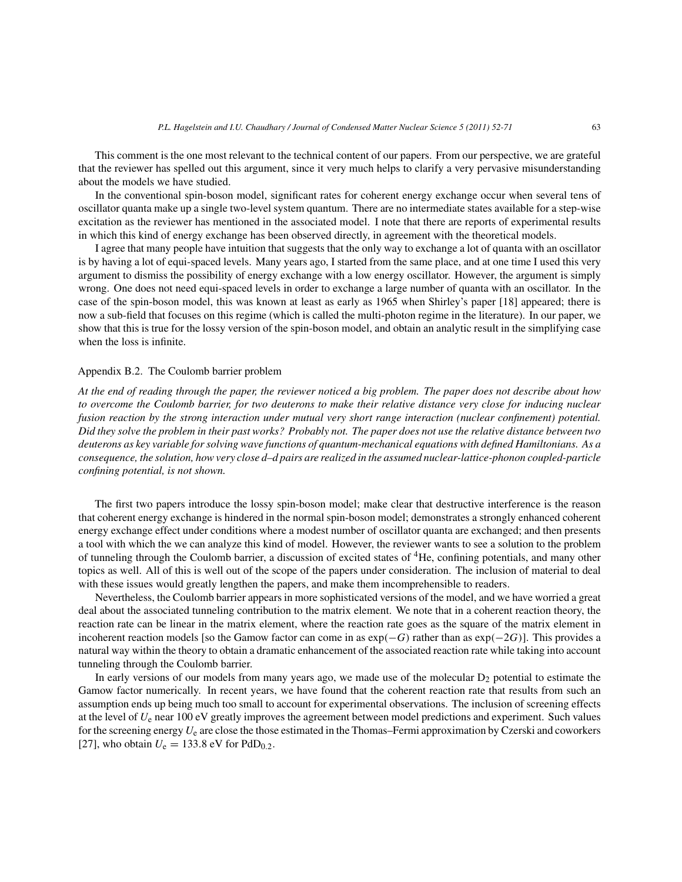This comment is the one most relevant to the technical content of our papers. From our perspective, we are grateful that the reviewer has spelled out this argument, since it very much helps to clarify a very pervasive misunderstanding about the models we have studied.

In the conventional spin-boson model, significant rates for coherent energy exchange occur when several tens of oscillator quanta make up a single two-level system quantum. There are no intermediate states available for a step-wise excitation as the reviewer has mentioned in the associated model. I note that there are reports of experimental results in which this kind of energy exchange has been observed directly, in agreement with the theoretical models.

I agree that many people have intuition that suggests that the only way to exchange a lot of quanta with an oscillator is by having a lot of equi-spaced levels. Many years ago, I started from the same place, and at one time I used this very argument to dismiss the possibility of energy exchange with a low energy oscillator. However, the argument is simply wrong. One does not need equi-spaced levels in order to exchange a large number of quanta with an oscillator. In the case of the spin-boson model, this was known at least as early as 1965 when Shirley's paper [18] appeared; there is now a sub-field that focuses on this regime (which is called the multi-photon regime in the literature). In our paper, we show that this is true for the lossy version of the spin-boson model, and obtain an analytic result in the simplifying case when the loss is infinite.

# Appendix B.2. The Coulomb barrier problem

*At the end of reading through the paper, the reviewer noticed a big problem. The paper does not describe about how to overcome the Coulomb barrier, for two deuterons to make their relative distance very close for inducing nuclear fusion reaction by the strong interaction under mutual very short range interaction (nuclear confinement) potential. Did they solve the problem in their past works? Probably not. The paper does not use the relative distance between two deuterons as key variable for solving wave functions of quantum-mechanical equations with defined Hamiltonians. As a consequence, the solution, how very close d–d pairs are realized in the assumed nuclear-lattice-phonon coupled-particle confining potential, is not shown.*

The first two papers introduce the lossy spin-boson model; make clear that destructive interference is the reason that coherent energy exchange is hindered in the normal spin-boson model; demonstrates a strongly enhanced coherent energy exchange effect under conditions where a modest number of oscillator quanta are exchanged; and then presents a tool with which the we can analyze this kind of model. However, the reviewer wants to see a solution to the problem of tunneling through the Coulomb barrier, a discussion of excited states of <sup>4</sup>He, confining potentials, and many other topics as well. All of this is well out of the scope of the papers under consideration. The inclusion of material to deal with these issues would greatly lengthen the papers, and make them incomprehensible to readers.

Nevertheless, the Coulomb barrier appears in more sophisticated versions of the model, and we have worried a great deal about the associated tunneling contribution to the matrix element. We note that in a coherent reaction theory, the reaction rate can be linear in the matrix element, where the reaction rate goes as the square of the matrix element in incoherent reaction models [so the Gamow factor can come in as  $exp(-G)$  rather than as  $exp(-2G)$ ]. This provides a natural way within the theory to obtain a dramatic enhancement of the associated reaction rate while taking into account tunneling through the Coulomb barrier.

In early versions of our models from many years ago, we made use of the molecular  $D_2$  potential to estimate the Gamow factor numerically. In recent years, we have found that the coherent reaction rate that results from such an assumption ends up being much too small to account for experimental observations. The inclusion of screening effects at the level of  $U_e$  near 100 eV greatly improves the agreement between model predictions and experiment. Such values for the screening energy  $U_e$  are close the those estimated in the Thomas–Fermi approximation by Czerski and coworkers [27], who obtain  $U_e = 133.8 \text{ eV}$  for PdD<sub>0.2</sub>.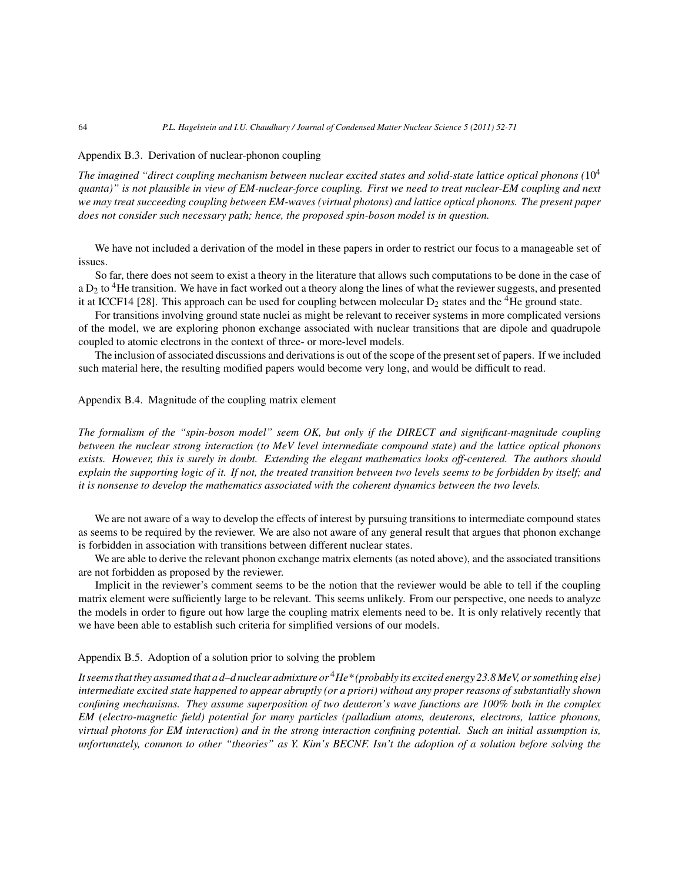#### Appendix B.3. Derivation of nuclear-phonon coupling

*The imagined "direct coupling mechanism between nuclear excited states and solid-state lattice optical phonons (*10<sup>4</sup> *quanta)" is not plausible in view of EM-nuclear-force coupling. First we need to treat nuclear-EM coupling and next we may treat succeeding coupling between EM-waves (virtual photons) and lattice optical phonons. The present paper does not consider such necessary path; hence, the proposed spin-boson model is in question.*

We have not included a derivation of the model in these papers in order to restrict our focus to a manageable set of issues.

So far, there does not seem to exist a theory in the literature that allows such computations to be done in the case of a  $D_2$  to  ${}^4$ He transition. We have in fact worked out a theory along the lines of what the reviewer suggests, and presented it at ICCF14 [28]. This approach can be used for coupling between molecular  $D_2$  states and the <sup>4</sup>He ground state.

For transitions involving ground state nuclei as might be relevant to receiver systems in more complicated versions of the model, we are exploring phonon exchange associated with nuclear transitions that are dipole and quadrupole coupled to atomic electrons in the context of three- or more-level models.

The inclusion of associated discussions and derivations is out of the scope of the present set of papers. If we included such material here, the resulting modified papers would become very long, and would be difficult to read.

# Appendix B.4. Magnitude of the coupling matrix element

*The formalism of the "spin-boson model" seem OK, but only if the DIRECT and significant-magnitude coupling between the nuclear strong interaction (to MeV level intermediate compound state) and the lattice optical phonons exists. However, this is surely in doubt. Extending the elegant mathematics looks off-centered. The authors should explain the supporting logic of it. If not, the treated transition between two levels seems to be forbidden by itself; and it is nonsense to develop the mathematics associated with the coherent dynamics between the two levels.*

We are not aware of a way to develop the effects of interest by pursuing transitions to intermediate compound states as seems to be required by the reviewer. We are also not aware of any general result that argues that phonon exchange is forbidden in association with transitions between different nuclear states.

We are able to derive the relevant phonon exchange matrix elements (as noted above), and the associated transitions are not forbidden as proposed by the reviewer.

Implicit in the reviewer's comment seems to be the notion that the reviewer would be able to tell if the coupling matrix element were sufficiently large to be relevant. This seems unlikely. From our perspective, one needs to analyze the models in order to figure out how large the coupling matrix elements need to be. It is only relatively recently that we have been able to establish such criteria for simplified versions of our models.

#### Appendix B.5. Adoption of a solution prior to solving the problem

*It seems that they assumed that a d–d nuclear admixture or* <sup>4</sup>*He\* (probably its excited energy 23.8 MeV, or something else) intermediate excited state happened to appear abruptly (or a priori) without any proper reasons of substantially shown confining mechanisms. They assume superposition of two deuteron's wave functions are 100% both in the complex EM (electro-magnetic field) potential for many particles (palladium atoms, deuterons, electrons, lattice phonons, virtual photons for EM interaction) and in the strong interaction confining potential. Such an initial assumption is, unfortunately, common to other "theories" as Y. Kim's BECNF. Isn't the adoption of a solution before solving the*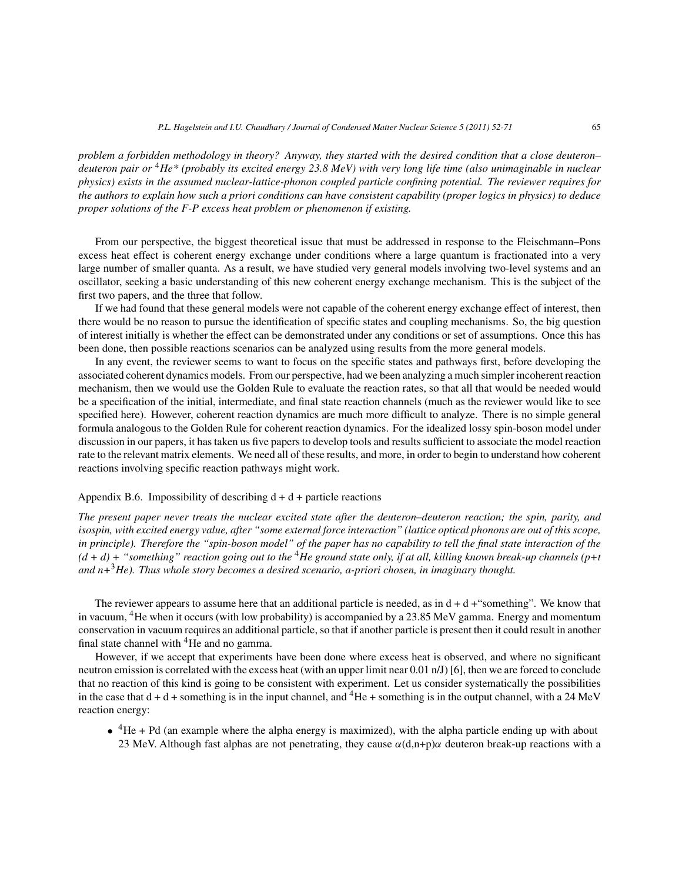*problem a forbidden methodology in theory? Anyway, they started with the desired condition that a close deuteron– deuteron pair or* <sup>4</sup>*He\* (probably its excited energy 23.8 MeV) with very long life time (also unimaginable in nuclear physics) exists in the assumed nuclear-lattice-phonon coupled particle confining potential. The reviewer requires for the authors to explain how such a priori conditions can have consistent capability (proper logics in physics) to deduce proper solutions of the F-P excess heat problem or phenomenon if existing.*

From our perspective, the biggest theoretical issue that must be addressed in response to the Fleischmann–Pons excess heat effect is coherent energy exchange under conditions where a large quantum is fractionated into a very large number of smaller quanta. As a result, we have studied very general models involving two-level systems and an oscillator, seeking a basic understanding of this new coherent energy exchange mechanism. This is the subject of the first two papers, and the three that follow.

If we had found that these general models were not capable of the coherent energy exchange effect of interest, then there would be no reason to pursue the identification of specific states and coupling mechanisms. So, the big question of interest initially is whether the effect can be demonstrated under any conditions or set of assumptions. Once this has been done, then possible reactions scenarios can be analyzed using results from the more general models.

In any event, the reviewer seems to want to focus on the specific states and pathways first, before developing the associated coherent dynamics models. From our perspective, had we been analyzing a much simpler incoherent reaction mechanism, then we would use the Golden Rule to evaluate the reaction rates, so that all that would be needed would be a specification of the initial, intermediate, and final state reaction channels (much as the reviewer would like to see specified here). However, coherent reaction dynamics are much more difficult to analyze. There is no simple general formula analogous to the Golden Rule for coherent reaction dynamics. For the idealized lossy spin-boson model under discussion in our papers, it has taken us five papers to develop tools and results sufficient to associate the model reaction rate to the relevant matrix elements. We need all of these results, and more, in order to begin to understand how coherent reactions involving specific reaction pathways might work.

### Appendix B.6. Impossibility of describing  $d + d +$  particle reactions

*The present paper never treats the nuclear excited state after the deuteron–deuteron reaction; the spin, parity, and isospin, with excited energy value, after "some external force interaction" (lattice optical phonons are out of this scope, in principle). Therefore the "spin-boson model" of the paper has no capability to tell the final state interaction of the (d + d) + "something" reaction going out to the* <sup>4</sup>*He ground state only, if at all, killing known break-up channels (p+t and n+*3*He). Thus whole story becomes a desired scenario, a-priori chosen, in imaginary thought.*

The reviewer appears to assume here that an additional particle is needed, as in  $d + d +$ "something". We know that in vacuum, 4He when it occurs (with low probability) is accompanied by a 23.85 MeV gamma. Energy and momentum conservation in vacuum requires an additional particle, so that if another particle is present then it could result in another final state channel with  ${}^{4}$ He and no gamma.

However, if we accept that experiments have been done where excess heat is observed, and where no significant neutron emission is correlated with the excess heat (with an upper limit near 0.01 n/J) [6], then we are forced to conclude that no reaction of this kind is going to be consistent with experiment. Let us consider systematically the possibilities in the case that  $d + d$  + something is in the input channel, and  ${}^{4}$ He + something is in the output channel, with a 24 MeV reaction energy:

 $\bullet$  <sup>4</sup>He + Pd (an example where the alpha energy is maximized), with the alpha particle ending up with about 23 MeV. Although fast alphas are not penetrating, they cause  $\alpha(d,n+p)\alpha$  deuteron break-up reactions with a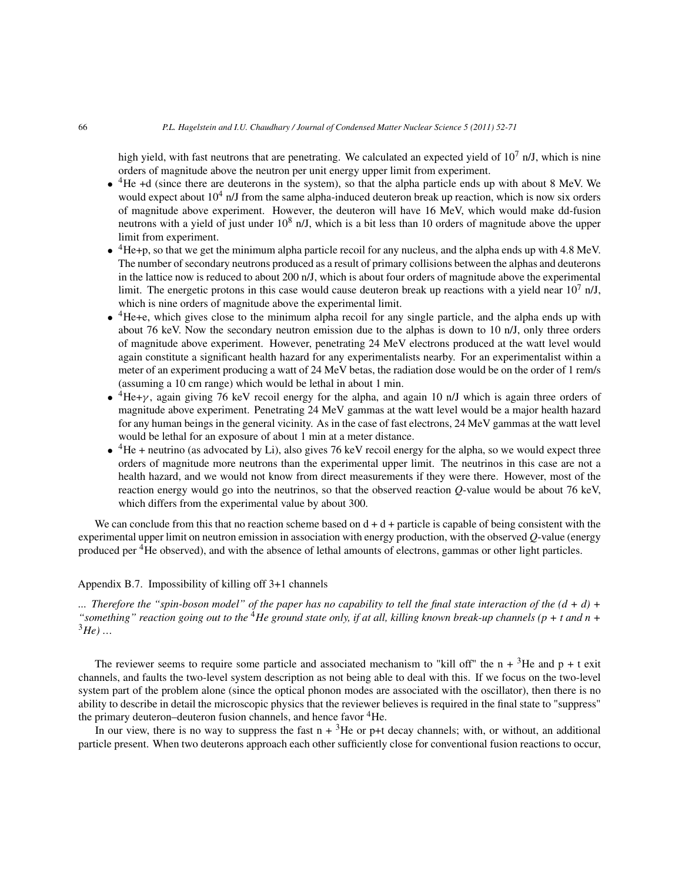high yield, with fast neutrons that are penetrating. We calculated an expected yield of  $10^7$  n/J, which is nine orders of magnitude above the neutron per unit energy upper limit from experiment.

- $\bullet$  <sup>4</sup>He +d (since there are deuterons in the system), so that the alpha particle ends up with about 8 MeV. We would expect about  $10^4$  n/J from the same alpha-induced deuteron break up reaction, which is now six orders of magnitude above experiment. However, the deuteron will have 16 MeV, which would make dd-fusion neutrons with a yield of just under  $10^8$  n/J, which is a bit less than 10 orders of magnitude above the upper limit from experiment.
- $\bullet$  <sup>4</sup>He+p, so that we get the minimum alpha particle recoil for any nucleus, and the alpha ends up with 4.8 MeV. The number of secondary neutrons produced as a result of primary collisions between the alphas and deuterons in the lattice now is reduced to about 200 n/J, which is about four orders of magnitude above the experimental limit. The energetic protons in this case would cause deuteron break up reactions with a yield near  $10^7$  n/J, which is nine orders of magnitude above the experimental limit.
- $\bullet$  <sup>4</sup>He+e, which gives close to the minimum alpha recoil for any single particle, and the alpha ends up with about 76 keV. Now the secondary neutron emission due to the alphas is down to 10 n/J, only three orders of magnitude above experiment. However, penetrating 24 MeV electrons produced at the watt level would again constitute a significant health hazard for any experimentalists nearby. For an experimentalist within a meter of an experiment producing a watt of 24 MeV betas, the radiation dose would be on the order of 1 rem/s (assuming a 10 cm range) which would be lethal in about 1 min.
- ${}^{4}$ He+ $\gamma$ , again giving 76 keV recoil energy for the alpha, and again 10 n/J which is again three orders of magnitude above experiment. Penetrating 24 MeV gammas at the watt level would be a major health hazard for any human beings in the general vicinity. As in the case of fast electrons, 24 MeV gammas at the watt level would be lethal for an exposure of about 1 min at a meter distance.
- $\bullet$  <sup>4</sup>He + neutrino (as advocated by Li), also gives 76 keV recoil energy for the alpha, so we would expect three orders of magnitude more neutrons than the experimental upper limit. The neutrinos in this case are not a health hazard, and we would not know from direct measurements if they were there. However, most of the reaction energy would go into the neutrinos, so that the observed reaction *Q*-value would be about 76 keV, which differs from the experimental value by about 300.

We can conclude from this that no reaction scheme based on  $d + d +$  particle is capable of being consistent with the experimental upper limit on neutron emission in association with energy production, with the observed *Q*-value (energy produced per 4He observed), and with the absence of lethal amounts of electrons, gammas or other light particles.

## Appendix B.7. Impossibility of killing off 3+1 channels

*... Therefore the "spin-boson model" of the paper has no capability to tell the final state interaction of the (d + d) + "something" reaction going out to the* <sup>4</sup>*He ground state only, if at all, killing known break-up channels (p + t and n +*  $^{3}He$ ) …

The reviewer seems to require some particle and associated mechanism to "kill off" the  $n + 3$ He and  $p + t$  exit channels, and faults the two-level system description as not being able to deal with this. If we focus on the two-level system part of the problem alone (since the optical phonon modes are associated with the oscillator), then there is no ability to describe in detail the microscopic physics that the reviewer believes is required in the final state to "suppress" the primary deuteron–deuteron fusion channels, and hence favor <sup>4</sup>He.

In our view, there is no way to suppress the fast  $n + 3$ He or p+t decay channels; with, or without, an additional particle present. When two deuterons approach each other sufficiently close for conventional fusion reactions to occur,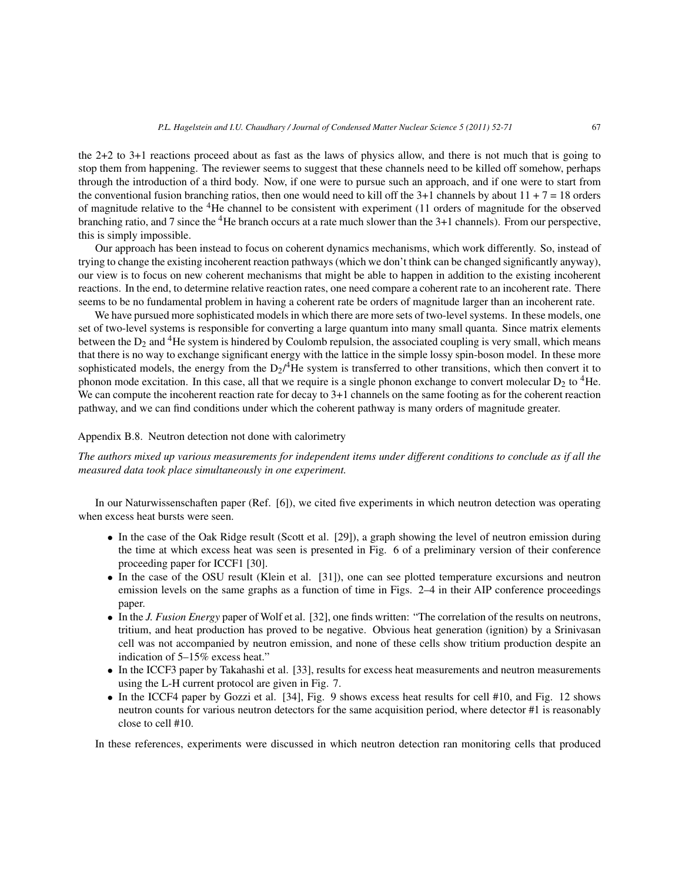the 2+2 to 3+1 reactions proceed about as fast as the laws of physics allow, and there is not much that is going to stop them from happening. The reviewer seems to suggest that these channels need to be killed off somehow, perhaps through the introduction of a third body. Now, if one were to pursue such an approach, and if one were to start from the conventional fusion branching ratios, then one would need to kill off the  $3+1$  channels by about  $11 + 7 = 18$  orders of magnitude relative to the 4He channel to be consistent with experiment (11 orders of magnitude for the observed branching ratio, and 7 since the 4He branch occurs at a rate much slower than the 3+1 channels). From our perspective, this is simply impossible.

Our approach has been instead to focus on coherent dynamics mechanisms, which work differently. So, instead of trying to change the existing incoherent reaction pathways (which we don't think can be changed significantly anyway), our view is to focus on new coherent mechanisms that might be able to happen in addition to the existing incoherent reactions. In the end, to determine relative reaction rates, one need compare a coherent rate to an incoherent rate. There seems to be no fundamental problem in having a coherent rate be orders of magnitude larger than an incoherent rate.

We have pursued more sophisticated models in which there are more sets of two-level systems. In these models, one set of two-level systems is responsible for converting a large quantum into many small quanta. Since matrix elements between the  $D_2$  and <sup>4</sup>He system is hindered by Coulomb repulsion, the associated coupling is very small, which means that there is no way to exchange significant energy with the lattice in the simple lossy spin-boson model. In these more sophisticated models, the energy from the  $D_2$ /<sup>4</sup>He system is transferred to other transitions, which then convert it to phonon mode excitation. In this case, all that we require is a single phonon exchange to convert molecular  $D_2$  to <sup>4</sup>He. We can compute the incoherent reaction rate for decay to 3+1 channels on the same footing as for the coherent reaction pathway, and we can find conditions under which the coherent pathway is many orders of magnitude greater.

#### Appendix B.8. Neutron detection not done with calorimetry

*The authors mixed up various measurements for independent items under different conditions to conclude as if all the measured data took place simultaneously in one experiment.*

In our Naturwissenschaften paper (Ref. [6]), we cited five experiments in which neutron detection was operating when excess heat bursts were seen.

- In the case of the Oak Ridge result (Scott et al. [29]), a graph showing the level of neutron emission during the time at which excess heat was seen is presented in Fig. 6 of a preliminary version of their conference proceeding paper for ICCF1 [30].
- In the case of the OSU result (Klein et al. [31]), one can see plotted temperature excursions and neutron emission levels on the same graphs as a function of time in Figs. 2–4 in their AIP conference proceedings paper.
- In the *J. Fusion Energy* paper of Wolf et al. [32], one finds written: "The correlation of the results on neutrons, tritium, and heat production has proved to be negative. Obvious heat generation (ignition) by a Srinivasan cell was not accompanied by neutron emission, and none of these cells show tritium production despite an indication of 5–15% excess heat."
- In the ICCF3 paper by Takahashi et al. [33], results for excess heat measurements and neutron measurements using the L-H current protocol are given in Fig. 7.
- In the ICCF4 paper by Gozzi et al. [34], Fig. 9 shows excess heat results for cell #10, and Fig. 12 shows neutron counts for various neutron detectors for the same acquisition period, where detector #1 is reasonably close to cell #10.

In these references, experiments were discussed in which neutron detection ran monitoring cells that produced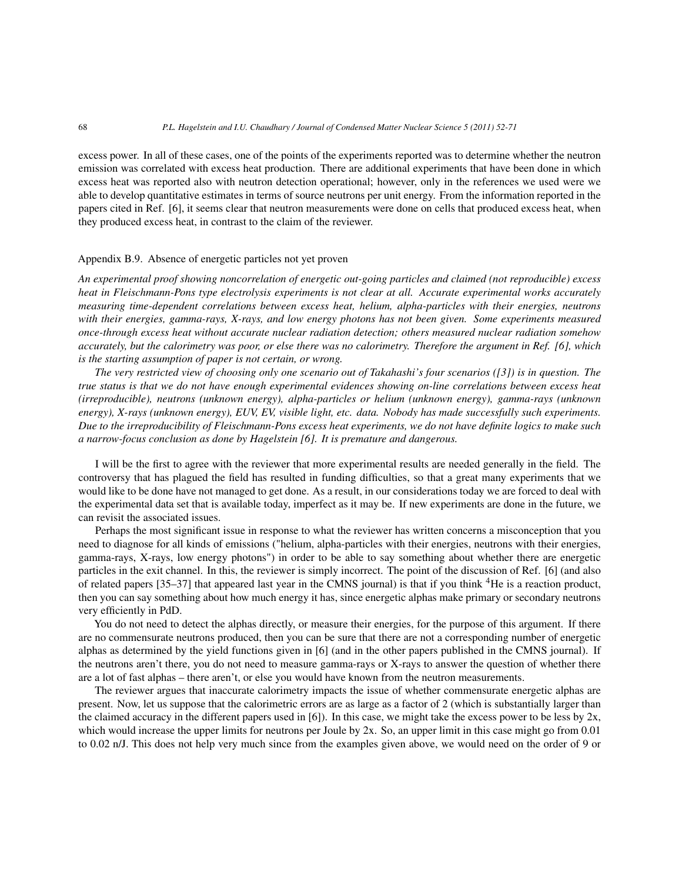excess power. In all of these cases, one of the points of the experiments reported was to determine whether the neutron emission was correlated with excess heat production. There are additional experiments that have been done in which excess heat was reported also with neutron detection operational; however, only in the references we used were we able to develop quantitative estimates in terms of source neutrons per unit energy. From the information reported in the papers cited in Ref. [6], it seems clear that neutron measurements were done on cells that produced excess heat, when they produced excess heat, in contrast to the claim of the reviewer.

## Appendix B.9. Absence of energetic particles not yet proven

*An experimental proof showing noncorrelation of energetic out-going particles and claimed (not reproducible) excess heat in Fleischmann-Pons type electrolysis experiments is not clear at all. Accurate experimental works accurately measuring time-dependent correlations between excess heat, helium, alpha-particles with their energies, neutrons with their energies, gamma-rays, X-rays, and low energy photons has not been given. Some experiments measured once-through excess heat without accurate nuclear radiation detection; others measured nuclear radiation somehow accurately, but the calorimetry was poor, or else there was no calorimetry. Therefore the argument in Ref. [6], which is the starting assumption of paper is not certain, or wrong.*

*The very restricted view of choosing only one scenario out of Takahashi's four scenarios ([3]) is in question. The true status is that we do not have enough experimental evidences showing on-line correlations between excess heat (irreproducible), neutrons (unknown energy), alpha-particles or helium (unknown energy), gamma-rays (unknown energy), X-rays (unknown energy), EUV, EV, visible light, etc. data. Nobody has made successfully such experiments. Due to the irreproducibility of Fleischmann-Pons excess heat experiments, we do not have definite logics to make such a narrow-focus conclusion as done by Hagelstein [6]. It is premature and dangerous.*

I will be the first to agree with the reviewer that more experimental results are needed generally in the field. The controversy that has plagued the field has resulted in funding difficulties, so that a great many experiments that we would like to be done have not managed to get done. As a result, in our considerations today we are forced to deal with the experimental data set that is available today, imperfect as it may be. If new experiments are done in the future, we can revisit the associated issues.

Perhaps the most significant issue in response to what the reviewer has written concerns a misconception that you need to diagnose for all kinds of emissions ("helium, alpha-particles with their energies, neutrons with their energies, gamma-rays, X-rays, low energy photons") in order to be able to say something about whether there are energetic particles in the exit channel. In this, the reviewer is simply incorrect. The point of the discussion of Ref. [6] (and also of related papers [35–37] that appeared last year in the CMNS journal) is that if you think 4He is a reaction product, then you can say something about how much energy it has, since energetic alphas make primary or secondary neutrons very efficiently in PdD.

You do not need to detect the alphas directly, or measure their energies, for the purpose of this argument. If there are no commensurate neutrons produced, then you can be sure that there are not a corresponding number of energetic alphas as determined by the yield functions given in [6] (and in the other papers published in the CMNS journal). If the neutrons aren't there, you do not need to measure gamma-rays or X-rays to answer the question of whether there are a lot of fast alphas – there aren't, or else you would have known from the neutron measurements.

The reviewer argues that inaccurate calorimetry impacts the issue of whether commensurate energetic alphas are present. Now, let us suppose that the calorimetric errors are as large as a factor of 2 (which is substantially larger than the claimed accuracy in the different papers used in [6]). In this case, we might take the excess power to be less by 2x, which would increase the upper limits for neutrons per Joule by 2x. So, an upper limit in this case might go from 0.01 to 0.02 n/J. This does not help very much since from the examples given above, we would need on the order of 9 or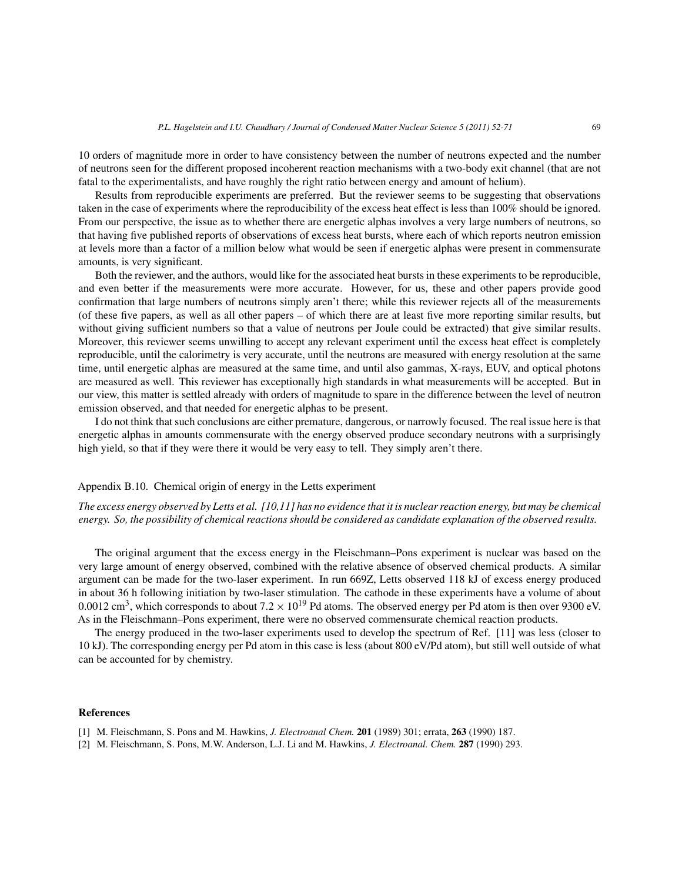10 orders of magnitude more in order to have consistency between the number of neutrons expected and the number of neutrons seen for the different proposed incoherent reaction mechanisms with a two-body exit channel (that are not fatal to the experimentalists, and have roughly the right ratio between energy and amount of helium).

Results from reproducible experiments are preferred. But the reviewer seems to be suggesting that observations taken in the case of experiments where the reproducibility of the excess heat effect is less than 100% should be ignored. From our perspective, the issue as to whether there are energetic alphas involves a very large numbers of neutrons, so that having five published reports of observations of excess heat bursts, where each of which reports neutron emission at levels more than a factor of a million below what would be seen if energetic alphas were present in commensurate amounts, is very significant.

Both the reviewer, and the authors, would like for the associated heat bursts in these experiments to be reproducible, and even better if the measurements were more accurate. However, for us, these and other papers provide good confirmation that large numbers of neutrons simply aren't there; while this reviewer rejects all of the measurements (of these five papers, as well as all other papers – of which there are at least five more reporting similar results, but without giving sufficient numbers so that a value of neutrons per Joule could be extracted) that give similar results. Moreover, this reviewer seems unwilling to accept any relevant experiment until the excess heat effect is completely reproducible, until the calorimetry is very accurate, until the neutrons are measured with energy resolution at the same time, until energetic alphas are measured at the same time, and until also gammas, X-rays, EUV, and optical photons are measured as well. This reviewer has exceptionally high standards in what measurements will be accepted. But in our view, this matter is settled already with orders of magnitude to spare in the difference between the level of neutron emission observed, and that needed for energetic alphas to be present.

I do not think that such conclusions are either premature, dangerous, or narrowly focused. The real issue here is that energetic alphas in amounts commensurate with the energy observed produce secondary neutrons with a surprisingly high yield, so that if they were there it would be very easy to tell. They simply aren't there.

# Appendix B.10. Chemical origin of energy in the Letts experiment

*The excess energy observed by Letts et al. [10,11] has no evidence that it is nuclear reaction energy, but may be chemical energy. So, the possibility of chemical reactions should be considered as candidate explanation of the observed results.*

The original argument that the excess energy in the Fleischmann–Pons experiment is nuclear was based on the very large amount of energy observed, combined with the relative absence of observed chemical products. A similar argument can be made for the two-laser experiment. In run 669Z, Letts observed 118 kJ of excess energy produced in about 36 h following initiation by two-laser stimulation. The cathode in these experiments have a volume of about 0.0012 cm<sup>3</sup>, which corresponds to about  $7.2 \times 10^{19}$  Pd atoms. The observed energy per Pd atom is then over 9300 eV. As in the Fleischmann–Pons experiment, there were no observed commensurate chemical reaction products.

The energy produced in the two-laser experiments used to develop the spectrum of Ref. [11] was less (closer to 10 kJ). The corresponding energy per Pd atom in this case is less (about 800 eV/Pd atom), but still well outside of what can be accounted for by chemistry.

#### **References**

- [1] M. Fleischmann, S. Pons and M. Hawkins, *J. Electroanal Chem.* **201** (1989) 301; errata, **263** (1990) 187.
- [2] M. Fleischmann, S. Pons, M.W. Anderson, L.J. Li and M. Hawkins, *J. Electroanal. Chem.* **287** (1990) 293.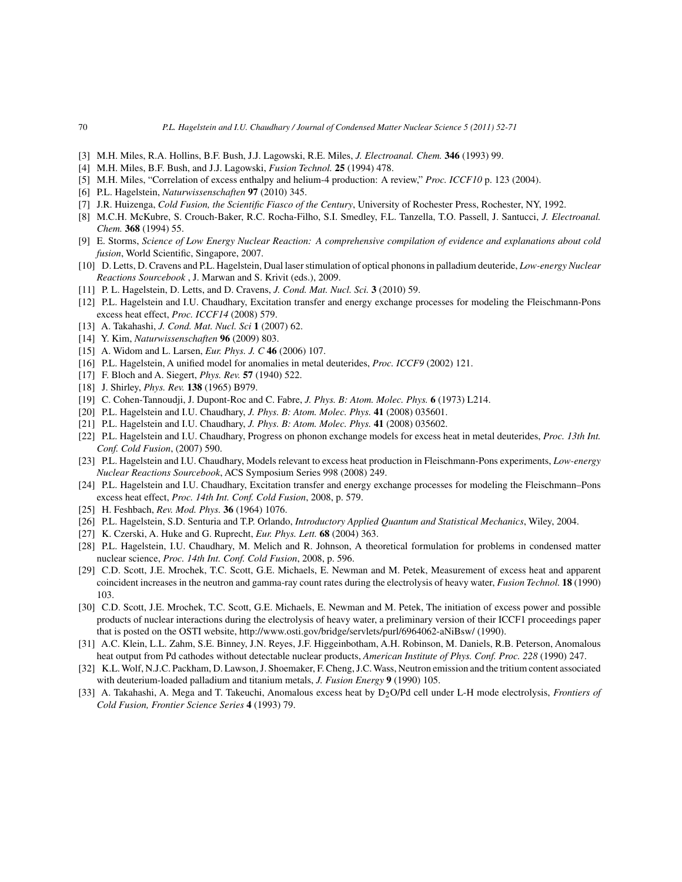- [3] M.H. Miles, R.A. Hollins, B.F. Bush, J.J. Lagowski, R.E. Miles, *J. Electroanal. Chem.* **346** (1993) 99.
- [4] M.H. Miles, B.F. Bush, and J.J. Lagowski, *Fusion Technol.* **25** (1994) 478.
- [5] M.H. Miles, "Correlation of excess enthalpy and helium-4 production: A review," *Proc. ICCF10* p. 123 (2004).
- [6] P.L. Hagelstein, *Naturwissenschaften* **97** (2010) 345.
- [7] J.R. Huizenga, *Cold Fusion, the Scientific Fiasco of the Century*, University of Rochester Press, Rochester, NY, 1992.
- [8] M.C.H. McKubre, S. Crouch-Baker, R.C. Rocha-Filho, S.I. Smedley, F.L. Tanzella, T.O. Passell, J. Santucci, *J. Electroanal. Chem.* **368** (1994) 55.
- [9] E. Storms, *Science of Low Energy Nuclear Reaction: A comprehensive compilation of evidence and explanations about cold fusion*, World Scientific, Singapore, 2007.
- [10] D. Letts, D. Cravens and P.L. Hagelstein, Dual laser stimulation of optical phonons in palladium deuteride, *Low-energy Nuclear Reactions Sourcebook* , J. Marwan and S. Krivit (eds.), 2009.
- [11] P. L. Hagelstein, D. Letts, and D. Cravens, *J. Cond. Mat. Nucl. Sci.* **3** (2010) 59.
- [12] P.L. Hagelstein and I.U. Chaudhary, Excitation transfer and energy exchange processes for modeling the Fleischmann-Pons excess heat effect, *Proc. ICCF14* (2008) 579.
- [13] A. Takahashi, *J. Cond. Mat. Nucl. Sci* **1** (2007) 62.
- [14] Y. Kim, *Naturwissenschaften* **96** (2009) 803.
- [15] A. Widom and L. Larsen, *Eur. Phys. J. C* **46** (2006) 107.
- [16] P.L. Hagelstein, A unified model for anomalies in metal deuterides, *Proc. ICCF9* (2002) 121.
- [17] F. Bloch and A. Siegert, *Phys. Rev.* **57** (1940) 522.
- [18] J. Shirley, *Phys. Rev.* **138** (1965) B979.
- [19] C. Cohen-Tannoudji, J. Dupont-Roc and C. Fabre, *J. Phys. B: Atom. Molec. Phys.* **6** (1973) L214.
- [20] P.L. Hagelstein and I.U. Chaudhary, *J. Phys. B: Atom. Molec. Phys.* **41** (2008) 035601.
- [21] P.L. Hagelstein and I.U. Chaudhary, *J. Phys. B: Atom. Molec. Phys.* **41** (2008) 035602.
- [22] P.L. Hagelstein and I.U. Chaudhary, Progress on phonon exchange models for excess heat in metal deuterides, *Proc. 13th Int. Conf. Cold Fusion*, (2007) 590.
- [23] P.L. Hagelstein and I.U. Chaudhary, Models relevant to excess heat production in Fleischmann-Pons experiments, *Low-energy Nuclear Reactions Sourcebook*, ACS Symposium Series 998 (2008) 249.
- [24] P.L. Hagelstein and I.U. Chaudhary, Excitation transfer and energy exchange processes for modeling the Fleischmann–Pons excess heat effect, *Proc. 14th Int. Conf. Cold Fusion*, 2008, p. 579.
- [25] H. Feshbach, *Rev. Mod. Phys.* **36** (1964) 1076.
- [26] P.L. Hagelstein, S.D. Senturia and T.P. Orlando, *Introductory Applied Quantum and Statistical Mechanics*, Wiley, 2004.
- [27] K. Czerski, A. Huke and G. Ruprecht, *Eur. Phys. Lett.* **68** (2004) 363.
- [28] P.L. Hagelstein, I.U. Chaudhary, M. Melich and R. Johnson, A theoretical formulation for problems in condensed matter nuclear science, *Proc. 14th Int. Conf. Cold Fusion*, 2008, p. 596.
- [29] C.D. Scott, J.E. Mrochek, T.C. Scott, G.E. Michaels, E. Newman and M. Petek, Measurement of excess heat and apparent coincident increases in the neutron and gamma-ray count rates during the electrolysis of heavy water, *Fusion Technol.* **18** (1990) 103.
- [30] C.D. Scott, J.E. Mrochek, T.C. Scott, G.E. Michaels, E. Newman and M. Petek, The initiation of excess power and possible products of nuclear interactions during the electrolysis of heavy water, a preliminary version of their ICCF1 proceedings paper that is posted on the OSTI website, http://www.osti.gov/bridge/servlets/purl/6964062-aNiBsw/ (1990).
- [31] A.C. Klein, L.L. Zahm, S.E. Binney, J.N. Reyes, J.F. Higgeinbotham, A.H. Robinson, M. Daniels, R.B. Peterson, Anomalous heat output from Pd cathodes without detectable nuclear products, *American Institute of Phys. Conf. Proc. 228* (1990) 247.
- [32] K.L. Wolf, N.J.C. Packham, D. Lawson, J. Shoemaker, F. Cheng, J.C. Wass, Neutron emission and the tritium content associated with deuterium-loaded palladium and titanium metals, *J. Fusion Energy* **9** (1990) 105.
- [33] A. Takahashi, A. Mega and T. Takeuchi, Anomalous excess heat by D2O/Pd cell under L-H mode electrolysis, *Frontiers of Cold Fusion, Frontier Science Series* **4** (1993) 79.